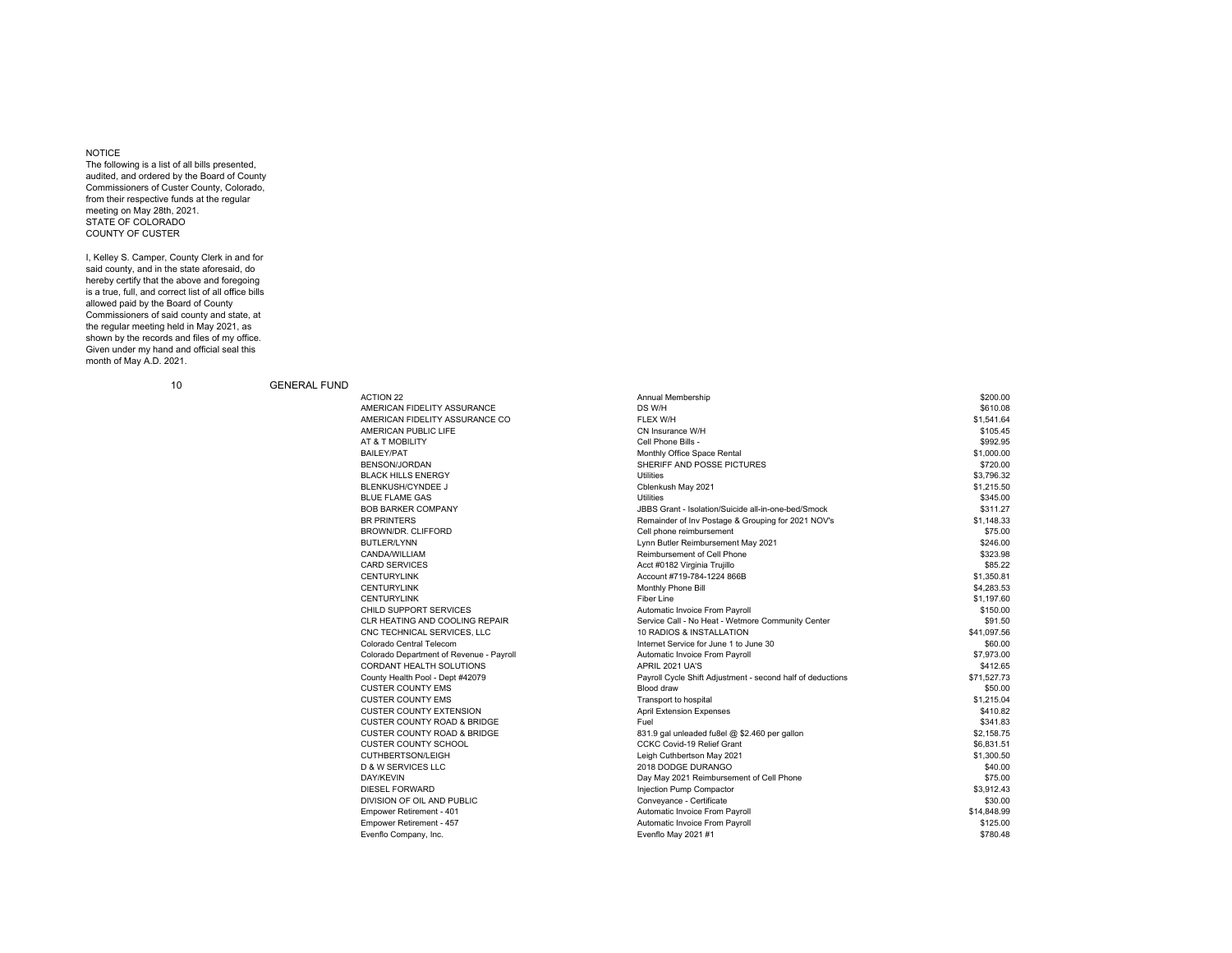## NOTICE

 The following is a list of all bills presented, audited, and ordered by the Board of County Commissioners of Custer County, Colorado, from their respective funds at the regular meeting on May 28th, 2021. STATE OF COLORADOCOUNTY OF CUSTER

I, Kelley S. Camper, County Clerk in and for said county, and in the state aforesaid, do hereby certify that the above and foregoing is a true, full, and correct list of all office bills allowed paid by the Board of County Commissioners of said county and state, at the regular meeting held in May 2021, as shown by the records and files of my office. Given under my hand and official seal this month of May A.D. 2021.

10 GENERAL FUND

| <b>ACTION 22</b>                                             | Annual Membership                                                        | \$200.00                |
|--------------------------------------------------------------|--------------------------------------------------------------------------|-------------------------|
| AMERICAN FIDELITY ASSURANCE                                  | DS W/H                                                                   | \$610.08                |
| AMERICAN FIDELITY ASSURANCE CO                               | FLEX W/H                                                                 | \$1,541.64              |
| AMERICAN PUBLIC LIFE                                         | CN Insurance W/H                                                         | \$105.45                |
| AT & T MOBILITY                                              | Cell Phone Bills -                                                       | \$992.95                |
| BAILEY/PAT                                                   | Monthly Office Space Rental                                              | \$1,000.00              |
| BENSON/JORDAN                                                | SHERIFF AND POSSE PICTURES                                               | \$720.00                |
| <b>BLACK HILLS ENERGY</b>                                    | <b>Utilities</b>                                                         | \$3.796.32              |
| <b>BLENKUSH/CYNDEE J</b>                                     | Cblenkush May 2021                                                       | \$1,215.50              |
| <b>BLUE FLAME GAS</b>                                        | Utilities                                                                | \$345.00                |
| <b>BOB BARKER COMPANY</b>                                    | JBBS Grant - Isolation/Suicide all-in-one-bed/Smock                      | \$311.27                |
| <b>BR PRINTERS</b>                                           | Remainder of Inv Postage & Grouping for 2021 NOV's                       | \$1.148.33              |
| BROWN/DR. CLIFFORD                                           | Cell phone reimbursement                                                 | \$75.00                 |
| <b>BUTLER/LYNN</b>                                           | Lynn Butler Reimbursement May 2021                                       | \$246.00                |
| CANDA/WILLIAM                                                | Reimbursement of Cell Phone                                              | \$323.98                |
| <b>CARD SERVICES</b>                                         | Acct #0182 Virginia Trujillo                                             | \$85.22                 |
| <b>CENTURYLINK</b>                                           | Account #719-784-1224 866B                                               | \$1,350.81              |
| <b>CENTURYLINK</b>                                           | Monthly Phone Bill                                                       | \$4,283.53              |
| <b>CENTURYLINK</b>                                           | Fiber Line                                                               | \$1,197.60              |
| CHILD SUPPORT SERVICES                                       | Automatic Invoice From Payroll                                           | \$150.00                |
| CLR HEATING AND COOLING REPAIR                               | Service Call - No Heat - Wetmore Community Center                        | \$91.50                 |
|                                                              | 10 RADIOS & INSTALLATION                                                 | \$41,097.56             |
| CNC TECHNICAL SERVICES, LLC<br>Colorado Central Telecom      | Internet Service for June 1 to June 30                                   | \$60.00                 |
|                                                              |                                                                          |                         |
| Colorado Department of Revenue - Payroll                     | Automatic Invoice From Payroll                                           | \$7,973.00              |
| CORDANT HEALTH SOLUTIONS                                     | APRIL 2021 UA'S                                                          | \$412.65<br>\$71,527.73 |
| County Health Pool - Dept #42079<br><b>CUSTER COUNTY EMS</b> | Payroll Cycle Shift Adjustment - second half of deductions<br>Blood draw | \$50.00                 |
|                                                              |                                                                          |                         |
| <b>CUSTER COUNTY EMS</b>                                     | Transport to hospital                                                    | \$1,215.04              |
| <b>CUSTER COUNTY EXTENSION</b>                               | <b>April Extension Expenses</b>                                          | \$410.82                |
| <b>CUSTER COUNTY ROAD &amp; BRIDGE</b>                       | Fuel                                                                     | \$341.83                |
| <b>CUSTER COUNTY ROAD &amp; BRIDGE</b>                       | 831.9 gal unleaded fu8el @ \$2.460 per gallon                            | \$2.158.75              |
| <b>CUSTER COUNTY SCHOOL</b>                                  | CCKC Covid-19 Relief Grant                                               | \$6,831.51              |
| CUTHBERTSON/LEIGH                                            | Leigh Cuthbertson May 2021                                               | \$1,300.50              |
| <b>D &amp; W SERVICES LLC</b>                                | 2018 DODGE DURANGO                                                       | \$40.00                 |
| DAY/KEVIN                                                    | Day May 2021 Reimbursement of Cell Phone                                 | \$75.00                 |
| <b>DIESEL FORWARD</b>                                        | Injection Pump Compactor                                                 | \$3.912.43              |
| DIVISION OF OIL AND PUBLIC                                   | Conveyance - Certificate                                                 | \$30.00                 |
| Empower Retirement - 401                                     | Automatic Invoice From Payroll                                           | \$14,848.99             |
| Empower Retirement - 457                                     | Automatic Invoice From Payroll                                           | \$125.00                |
| Evenflo Company, Inc.                                        | Evenflo May 2021 #1                                                      | \$780.48                |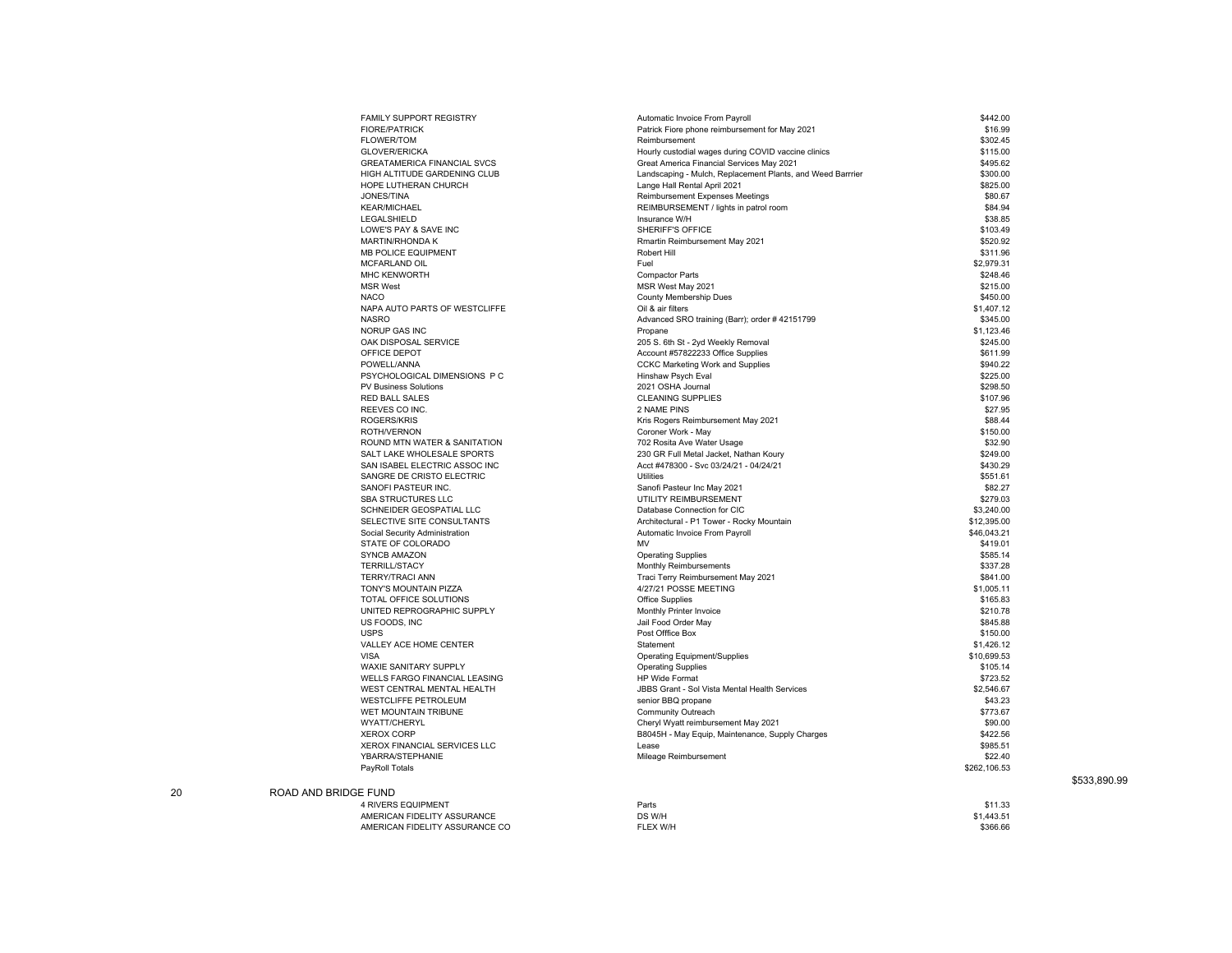| FAMILY SUPPORT REGISTRY                                   | Automatic Invoice From Payroll                             | \$442.00     |
|-----------------------------------------------------------|------------------------------------------------------------|--------------|
| <b>FIORE/PATRICK</b>                                      | Patrick Fiore phone reimbursement for May 2021             | \$16.99      |
| <b>FLOWER/TOM</b>                                         | Reimbursement                                              | \$302.45     |
| <b>GLOVER/ERICKA</b>                                      | Hourly custodial wages during COVID vaccine clinics        | \$115.00     |
| <b>GREATAMERICA FINANCIAL SVCS</b>                        | Great America Financial Services May 2021                  | \$495.62     |
| HIGH ALTITUDE GARDENING CLUB                              | Landscaping - Mulch, Replacement Plants, and Weed Barrrier | \$300.00     |
| HOPE LUTHERAN CHURCH                                      | Lange Hall Rental April 2021                               | \$825.00     |
| JONES/TINA                                                | Reimbursement Expenses Meetings                            | \$80.67      |
| <b>KEAR/MICHAEL</b>                                       | REIMBURSEMENT / lights in patrol room                      | \$84.94      |
| LEGALSHIELD                                               | Insurance W/H                                              | \$38.85      |
| LOWE'S PAY & SAVE INC                                     | SHERIFF'S OFFICE                                           | \$103.49     |
| <b>MARTIN/RHONDA K</b>                                    | Rmartin Reimbursement May 2021                             | \$520.92     |
| MB POLICE EQUIPMENT                                       | Robert Hill                                                | \$311.96     |
| MCFARLAND OIL                                             | Fuel                                                       | \$2,979.31   |
| MHC KENWORTH                                              | <b>Compactor Parts</b>                                     | \$248.46     |
| <b>MSR West</b>                                           |                                                            | \$215.00     |
|                                                           | MSR West May 2021                                          |              |
| <b>NACO</b>                                               | County Membership Dues                                     | \$450.00     |
| NAPA AUTO PARTS OF WESTCLIFFE                             | Oil & air filters                                          | \$1,407.12   |
| <b>NASRO</b>                                              | Advanced SRO training (Barr); order #42151799              | \$345.00     |
| <b>NORUP GAS INC</b>                                      | Propane                                                    | \$1,123.46   |
| OAK DISPOSAL SERVICE                                      | 205 S. 6th St - 2yd Weekly Removal                         | \$245.00     |
| OFFICE DEPOT                                              | Account #57822233 Office Supplies                          | \$611.99     |
| POWELL/ANNA                                               | <b>CCKC Marketing Work and Supplies</b>                    | \$940.22     |
| PSYCHOLOGICAL DIMENSIONS P C                              | Hinshaw Psych Eval                                         | \$225.00     |
| PV Business Solutions                                     | 2021 OSHA Journal                                          | \$298.50     |
| <b>RED BALL SALES</b>                                     | <b>CLEANING SUPPLIES</b>                                   | \$107.96     |
| REEVES CO INC.                                            | 2 NAME PINS                                                | \$27.95      |
| ROGERS/KRIS                                               | Kris Rogers Reimbursement May 2021                         | \$88.44      |
| ROTH/VERNON                                               | Coroner Work - May                                         | \$150.00     |
| ROUND MTN WATER & SANITATION                              | 702 Rosita Ave Water Usage                                 | \$32.90      |
| SALT LAKE WHOLESALE SPORTS                                | 230 GR Full Metal Jacket, Nathan Koury                     | \$249.00     |
| SAN ISABEL ELECTRIC ASSOC INC                             | Acct #478300 - Svc 03/24/21 - 04/24/21                     | \$430.29     |
| SANGRE DE CRISTO ELECTRIC                                 | Utilities                                                  | \$551.61     |
| SANOFI PASTEUR INC.                                       | Sanofi Pasteur Inc May 2021                                | \$82.27      |
| SBA STRUCTURES LLC                                        | UTILITY REIMBURSEMENT                                      | \$279.03     |
| SCHNEIDER GEOSPATIAL LLC                                  | Database Connection for CIC                                | \$3,240.00   |
| SELECTIVE SITE CONSULTANTS                                | Architectural - P1 Tower - Rocky Mountain                  | \$12,395.00  |
| Social Security Administration                            | Automatic Invoice From Payroll                             | \$46,043.21  |
| STATE OF COLORADO                                         | MV                                                         | \$419.01     |
| <b>SYNCB AMAZON</b>                                       | <b>Operating Supplies</b>                                  | \$585.14     |
| <b>TERRILL/STACY</b>                                      | Monthly Reimbursements                                     | \$337.28     |
| <b>TERRY/TRACI ANN</b>                                    | Traci Terry Reimbursement May 2021                         | \$841.00     |
| TONY'S MOUNTAIN PIZZA                                     | 4/27/21 POSSE MEETING                                      | \$1,005.11   |
| TOTAL OFFICE SOLUTIONS                                    | Office Supplies                                            | \$165.83     |
| UNITED REPROGRAPHIC SUPPLY                                | Monthly Printer Invoice                                    | \$210.78     |
| US FOODS, INC                                             | Jail Food Order May                                        | \$845.88     |
| <b>USPS</b>                                               | Post Offfice Box                                           | \$150.00     |
| VALLEY ACE HOME CENTER                                    | Statement                                                  | \$1,426.12   |
| <b>VISA</b>                                               | <b>Operating Equipment/Supplies</b>                        | \$10,699.53  |
| WAXIE SANITARY SUPPLY                                     | <b>Operating Supplies</b>                                  | \$105.14     |
| WELLS FARGO FINANCIAL LEASING                             | <b>HP Wide Format</b>                                      | \$723.52     |
|                                                           | JBBS Grant - Sol Vista Mental Health Services              | \$2,546.67   |
| WEST CENTRAL MENTAL HEALTH<br><b>WESTCLIFFE PETROLEUM</b> | senior BBQ propane                                         | \$43.23      |
|                                                           |                                                            |              |
| WET MOUNTAIN TRIBUNE                                      | Community Outreach                                         | \$773.67     |
| WYATT/CHERYL                                              | Cheryl Wyatt reimbursement May 2021                        | \$90.00      |
| <b>XEROX CORP</b>                                         | B8045H - May Equip, Maintenance, Supply Charges            | \$422.56     |
| XEROX FINANCIAL SERVICES LLC                              | Lease                                                      | \$985.51     |
| YBARRA/STEPHANIE                                          | Mileage Reimbursement                                      | \$22.40      |
| PayRoll Totals                                            |                                                            | \$262,106.53 |
|                                                           |                                                            |              |
| <b>BRIDGE FUND</b>                                        |                                                            |              |
| 4 RIVERS EQUIPMENT                                        | Parts                                                      | \$11.33      |
| AMERICAN FIDELITY ASSURANCE                               | DS W/H                                                     | \$1,443.51   |
| AMERICAN FIDELITY ASSURANCE CO                            | FLEX W/H                                                   | \$366.66     |

20 ROAD AND

\$533,890.99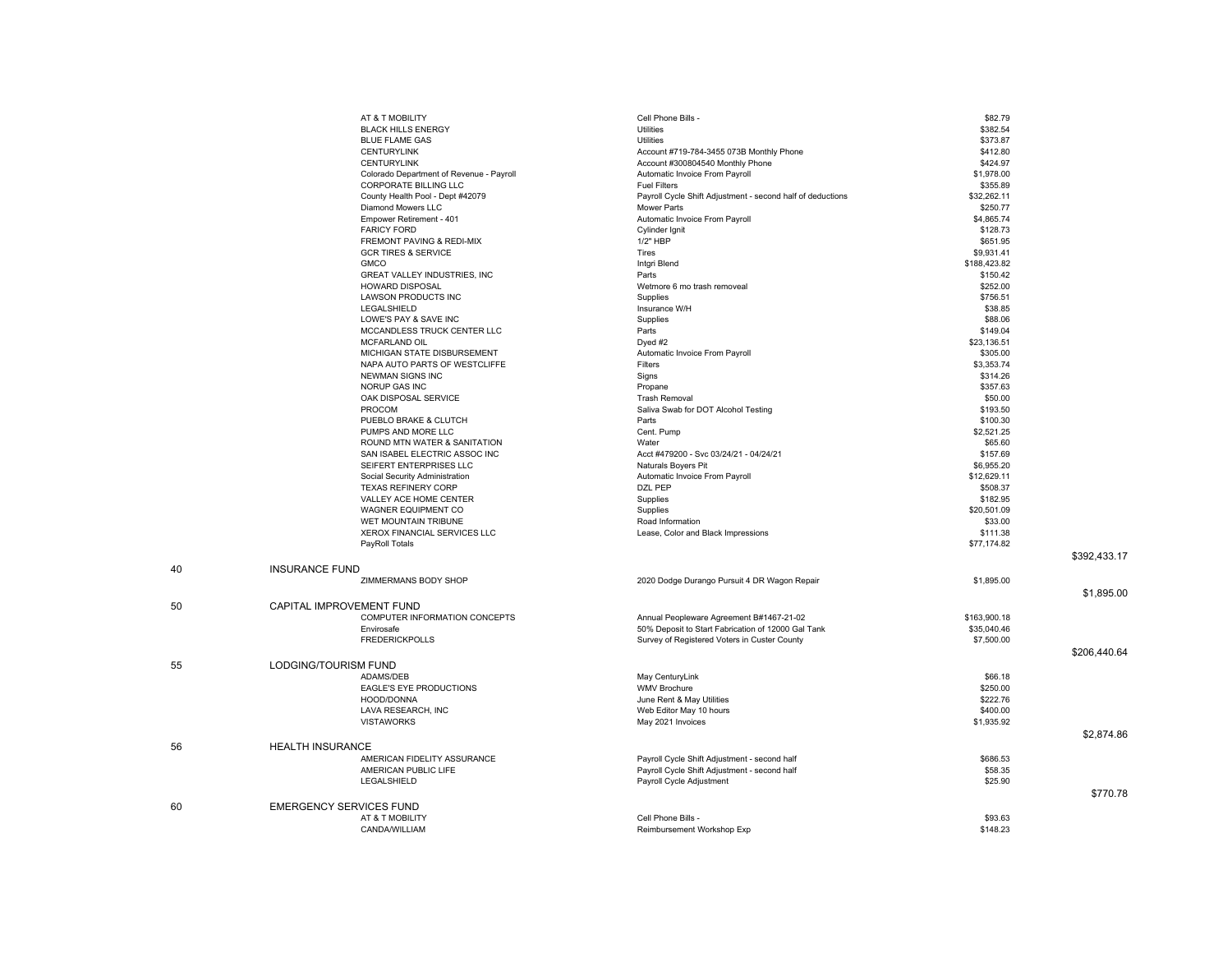|    | AT & T MOBILITY                |                                          | Cell Phone Bills -                                         | \$82.79      |              |
|----|--------------------------------|------------------------------------------|------------------------------------------------------------|--------------|--------------|
|    | <b>BLACK HILLS ENERGY</b>      |                                          | Utilities                                                  | \$382.54     |              |
|    | <b>BLUE FLAME GAS</b>          |                                          | Utilities                                                  | \$373.87     |              |
|    | <b>CENTURYLINK</b>             |                                          | Account #719-784-3455 073B Monthly Phone                   | \$412.80     |              |
|    | <b>CENTURYLINK</b>             |                                          | Account #300804540 Monthly Phone                           | \$424.97     |              |
|    |                                | Colorado Department of Revenue - Payroll | Automatic Invoice From Payroll                             | \$1,978.00   |              |
|    | CORPORATE BILLING LLC          |                                          | <b>Fuel Filters</b>                                        | \$355.89     |              |
|    |                                | County Health Pool - Dept #42079         | Payroll Cycle Shift Adjustment - second half of deductions | \$32,262.11  |              |
|    | Diamond Mowers LLC             |                                          | Mower Parts                                                | \$250.77     |              |
|    | Empower Retirement - 401       |                                          | Automatic Invoice From Payroll                             | \$4,865.74   |              |
|    | <b>FARICY FORD</b>             |                                          | Cylinder Ignit                                             | \$128.73     |              |
|    |                                | FREMONT PAVING & REDI-MIX                | 1/2" HBP                                                   | \$651.95     |              |
|    | <b>GCR TIRES &amp; SERVICE</b> |                                          | Tires                                                      | \$9,931.41   |              |
|    | <b>GMCO</b>                    |                                          | Intgri Blend                                               | \$188,423.82 |              |
|    |                                | GREAT VALLEY INDUSTRIES, INC             | Parts                                                      | \$150.42     |              |
|    | <b>HOWARD DISPOSAL</b>         |                                          | Wetmore 6 mo trash removeal                                | \$252.00     |              |
|    | LAWSON PRODUCTS INC            |                                          | Supplies                                                   | \$756.51     |              |
|    | LEGALSHIELD                    |                                          | Insurance W/H                                              | \$38.85      |              |
|    | LOWE'S PAY & SAVE INC          |                                          | Supplies                                                   | \$88.06      |              |
|    |                                | MCCANDLESS TRUCK CENTER LLC              | Parts                                                      | \$149.04     |              |
|    | <b>MCFARLAND OIL</b>           |                                          |                                                            | \$23,136.51  |              |
|    |                                | MICHIGAN STATE DISBURSEMENT              | $D$ yed #2<br>Automatic Invoice From Payroll               | \$305.00     |              |
|    |                                | NAPA AUTO PARTS OF WESTCLIFFE            | Filters                                                    | \$3,353.74   |              |
|    | <b>NEWMAN SIGNS INC</b>        |                                          |                                                            | \$314.26     |              |
|    | NORUP GAS INC                  |                                          | Signs                                                      |              |              |
|    |                                |                                          | Propane                                                    | \$357.63     |              |
|    | OAK DISPOSAL SERVICE           |                                          | <b>Trash Removal</b>                                       | \$50.00      |              |
|    | PROCOM                         |                                          | Saliva Swab for DOT Alcohol Testing                        | \$193.50     |              |
|    | PUEBLO BRAKE & CLUTCH          |                                          | Parts                                                      | \$100.30     |              |
|    | PUMPS AND MORE LLC             |                                          | Cent. Pump                                                 | \$2,521.25   |              |
|    |                                | ROUND MTN WATER & SANITATION             | Water                                                      | \$65.60      |              |
|    |                                | SAN ISABEL ELECTRIC ASSOC INC            | Acct #479200 - Svc 03/24/21 - 04/24/21                     | \$157.69     |              |
|    |                                | SEIFERT ENTERPRISES LLC                  | Naturals Boyers Pit                                        | \$6,955.20   |              |
|    | Social Security Administration |                                          | Automatic Invoice From Payroll                             | \$12,629.11  |              |
|    | <b>TEXAS REFINERY CORP</b>     |                                          | DZL PEP                                                    | \$508.37     |              |
|    |                                | VALLEY ACE HOME CENTER                   | Supplies                                                   | \$182.95     |              |
|    | WAGNER EQUIPMENT CO            |                                          | Supplies                                                   | \$20,501.09  |              |
|    | WET MOUNTAIN TRIBUNE           |                                          | Road Information                                           | \$33.00      |              |
|    |                                | XEROX FINANCIAL SERVICES LLC             | Lease, Color and Black Impressions                         | \$111.38     |              |
|    | PayRoll Totals                 |                                          |                                                            | \$77,174.82  |              |
|    |                                |                                          |                                                            |              | \$392,433.17 |
| 40 | <b>INSURANCE FUND</b>          |                                          |                                                            |              |              |
|    | ZIMMERMANS BODY SHOP           |                                          | 2020 Dodge Durango Pursuit 4 DR Wagon Repair               | \$1,895.00   |              |
|    |                                |                                          |                                                            |              | \$1,895.00   |
| 50 | CAPITAL IMPROVEMENT FUND       |                                          |                                                            |              |              |
|    |                                | COMPUTER INFORMATION CONCEPTS            | Annual Peopleware Agreement B#1467-21-02                   | \$163,900.18 |              |
|    | Envirosafe                     |                                          | 50% Deposit to Start Fabrication of 12000 Gal Tank         | \$35,040.46  |              |
|    | <b>FREDERICKPOLLS</b>          |                                          | Survey of Registered Voters in Custer County               | \$7,500.00   |              |
|    |                                |                                          |                                                            |              | \$206,440.64 |
|    |                                |                                          |                                                            |              |              |
| 55 | LODGING/TOURISM FUND           |                                          |                                                            |              |              |
|    | ADAMS/DEB                      |                                          | May CenturyLink                                            | \$66.18      |              |
|    |                                | EAGLE'S EYE PRODUCTIONS                  | <b>WMV Brochure</b>                                        | \$250.00     |              |
|    | HOOD/DONNA                     |                                          | June Rent & May Utilities                                  | \$222.76     |              |
|    | LAVA RESEARCH, INC             |                                          | Web Editor May 10 hours                                    | \$400.00     |              |
|    | <b>VISTAWORKS</b>              |                                          | May 2021 Invoices                                          | \$1,935.92   |              |
|    |                                |                                          |                                                            |              | \$2,874.86   |
| 56 | <b>HEALTH INSURANCE</b>        |                                          |                                                            |              |              |
|    |                                | AMERICAN FIDELITY ASSURANCE              | Payroll Cycle Shift Adjustment - second half               | \$686.53     |              |
|    | AMERICAN PUBLIC LIFE           |                                          | Payroll Cycle Shift Adjustment - second half               | \$58.35      |              |
|    | LEGALSHIELD                    |                                          | Payroll Cycle Adjustment                                   | \$25.90      |              |
|    |                                |                                          |                                                            |              | \$770.78     |
| 60 | <b>EMERGENCY SERVICES FUND</b> |                                          |                                                            |              |              |
|    | AT & T MOBILITY                |                                          | Cell Phone Bills -                                         | \$93.63      |              |
|    | CANDA/WILLIAM                  |                                          | Reimbursement Workshop Exp                                 | \$148.23     |              |
|    |                                |                                          |                                                            |              |              |